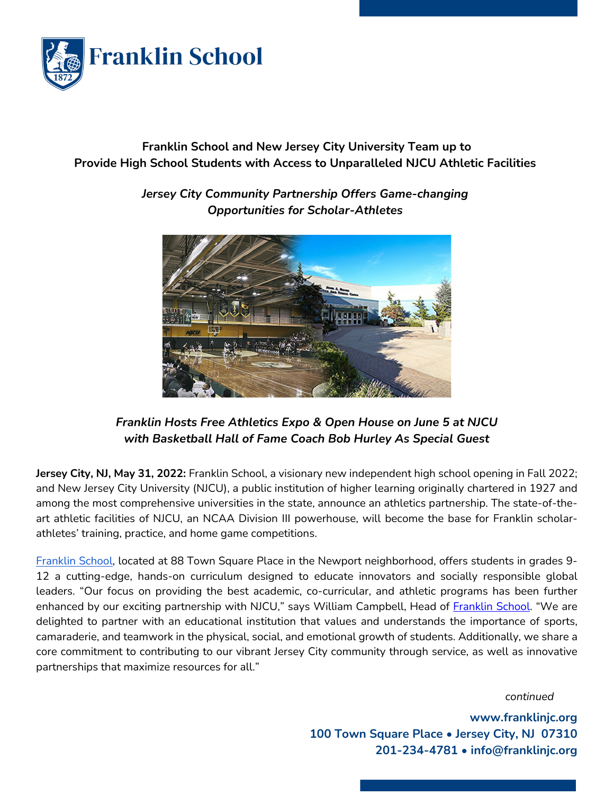

## **Franklin School and New Jersey City University Team up to Provide High School Students with Access to Unparalleled NJCU Athletic Facilities**



*Jersey City Community Partnership Offers Game-changing Opportunities for Scholar-Athletes*

## *Franklin Hosts Free Athletics Expo & Open House on June 5 at NJCU with Basketball Hall of Fame Coach Bob Hurley As Special Guest*

**Jersey City, NJ, May 31, 2022:** Franklin School, a visionary new independent high school opening in Fall 2022; and New Jersey City University (NJCU), a public institution of higher learning originally chartered in 1927 and among the most comprehensive universities in the state, announce an athletics partnership. The state-of-theart athletic facilities of NJCU, an NCAA Division III powerhouse, will become the base for Franklin scholarathletes' training, practice, and home game competitions.

Franklin School, located at 88 Town Square Place in the Newport neighborhood, offers students in grades 9- 12 a cutting-edge, hands-on curriculum designed to educate innovators and socially responsible global leaders. "Our focus on providing the best academic, co-curricular, and athletic programs has been further enhanced by our exciting partnership with NJCU," says William Campbell, Head of Franklin School. "We are delighted to partner with an educational institution that values and understands the importance of sports, camaraderie, and teamwork in the physical, social, and emotional growth of students. Additionally, we share a core commitment to contributing to our vibrant Jersey City community through service, as well as innovative partnerships that maximize resources for all."

*continued*

**www.franklinjc.org 100 Town Square Place • Jersey City, NJ 07310 201-234-4781 • info@franklinjc.org**